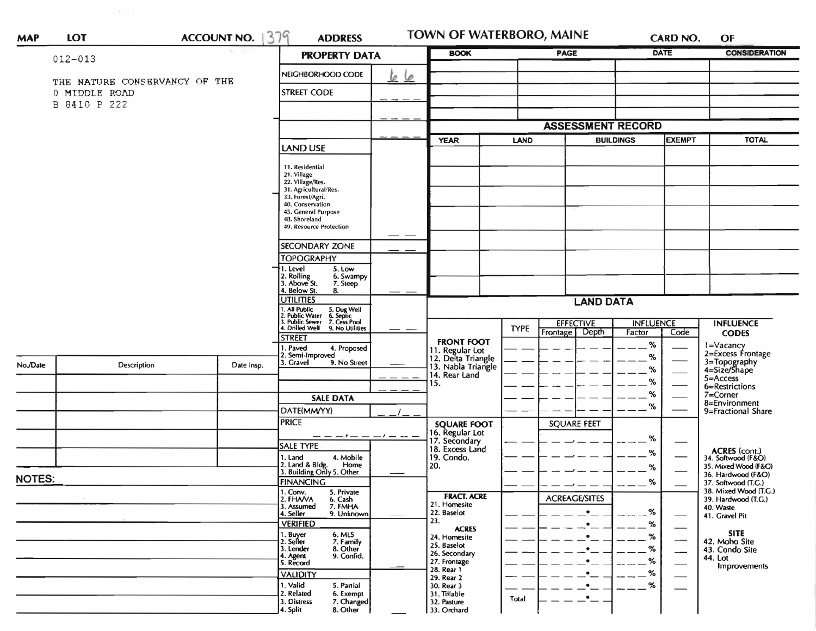| <b>MAP</b>    | <b>LOT</b>                                                     | ACCOUNT NO.                                                     | 379<br><b>ADDRESS</b>                                                                  |    | TOWN OF WATERBORO, MAINE                                                     |                          |                          |               | CARD NO. | OF                                           |
|---------------|----------------------------------------------------------------|-----------------------------------------------------------------|----------------------------------------------------------------------------------------|----|------------------------------------------------------------------------------|--------------------------|--------------------------|---------------|----------|----------------------------------------------|
|               | $012 - 013$                                                    |                                                                 | <b>PROPERTY DATA</b>                                                                   |    | <b>BOOK</b>                                                                  | PAGE                     |                          | <b>DATE</b>   |          | <b>CONSIDERATION</b>                         |
|               | THE NATURE CONSERVANCY OF THE<br>0 MIDDLE ROAD<br>B 8410 P 222 |                                                                 | NEIGHBORHOOD CODE<br><b>STREET CODE</b>                                                | 66 |                                                                              |                          |                          |               |          |                                              |
|               |                                                                |                                                                 |                                                                                        |    |                                                                              |                          |                          |               |          |                                              |
|               |                                                                |                                                                 |                                                                                        |    |                                                                              |                          | <b>ASSESSMENT RECORD</b> |               |          |                                              |
|               |                                                                |                                                                 | LAND USE                                                                               |    | <b>YEAR</b>                                                                  | LAND<br><b>BUILDINGS</b> |                          | <b>EXEMPT</b> |          | <b>TOTAL</b>                                 |
|               |                                                                | 11. Residential<br>21. Village                                  |                                                                                        |    |                                                                              |                          |                          |               |          |                                              |
|               |                                                                |                                                                 | 22. Village/Res.<br>31. Agricultural/Res.                                              |    |                                                                              |                          |                          |               |          |                                              |
|               |                                                                | 33. Forest/Agri.<br>40. Conservation                            |                                                                                        |    |                                                                              |                          |                          |               |          |                                              |
|               |                                                                | 45. General Purpose<br>48. Shoreland<br>49. Resource Protection |                                                                                        |    |                                                                              |                          |                          |               |          |                                              |
|               |                                                                |                                                                 | <b>SECONDARY ZONE</b>                                                                  |    |                                                                              |                          |                          |               |          |                                              |
|               |                                                                |                                                                 | <b>TOPOGRAPHY</b>                                                                      |    |                                                                              |                          |                          |               |          |                                              |
|               |                                                                |                                                                 | 1. Level<br>5. Low<br>2. Rolling<br>3. Above St.<br>6. Swampy<br>7. Steep              |    |                                                                              |                          |                          |               |          |                                              |
|               |                                                                |                                                                 | 4. Below St.<br>8.<br><b>UTILITIES</b>                                                 |    |                                                                              |                          | <b>LAND DATA</b>         |               |          |                                              |
|               |                                                                |                                                                 | 1. All Public 5. Dug Well<br>2. Public Water 6. Septic<br>3. Public Sewer 7. Cess Pool |    | <b>EFFECTIVE</b><br><b>INFLUENCE</b>                                         |                          |                          |               |          | <b>INFLUENCE</b>                             |
|               |                                                                |                                                                 | I. Drilled Well 9. No Utilities<br><b>STREET</b>                                       |    |                                                                              | <b>TYPE</b>              | Depth<br>Frontage        | Factor        | Code     | <b>CODES</b>                                 |
|               |                                                                |                                                                 | . Paved<br>4. Proposed<br>2. Semi-Improved                                             |    | <b>FRONT FOOT</b>                                                            |                          |                          | $\%$<br>%     |          | 1=Vacancy<br>2=Excess Frontage               |
| No./Date      | Description                                                    | Date Insp.                                                      | 3. Gravel<br>9. No Street                                                              |    | 11. Regular Lot<br>12. Delta Triangle<br>13. Nabla Triangle<br>14. Rear Land |                          |                          | $\%$          |          | 3=Topography<br>4=Size/Shape                 |
|               |                                                                |                                                                 |                                                                                        |    | 15.                                                                          |                          |                          | $\%$          |          | $5 =$ Access<br>6=Restrictions               |
|               |                                                                |                                                                 | <b>SALE DATA</b>                                                                       |    |                                                                              |                          |                          | $\%$          |          | 7=Corner<br>8=Environment                    |
|               |                                                                |                                                                 | DATE(MM/YY)                                                                            |    |                                                                              |                          | %                        |               |          | 9=Fractional Share                           |
|               |                                                                |                                                                 | <b>PRICE</b>                                                                           |    | <b>SQUARE FOOT</b><br>16. Regular Lot<br>17. Secondary<br>18. Excess Land    |                          | <b>SQUARE FEET</b>       |               |          |                                              |
|               |                                                                |                                                                 | $-1 - -$<br>$- - - -$<br>SALE TYPE                                                     |    |                                                                              |                          |                          | %             |          |                                              |
|               |                                                                |                                                                 | 4. Mobile<br>1. Land                                                                   |    | 19. Condo.                                                                   |                          |                          | %             |          | ACRES (cont.)<br>34. Softwood (F&O)          |
|               |                                                                |                                                                 | 2. Land & Bldg. Home<br>3. Building Only 5. Other<br>Home                              |    | 20.                                                                          |                          |                          | %             |          | 35. Mixed Wood (F&O)<br>36. Hardwood (F&O)   |
| <b>NOTES:</b> |                                                                |                                                                 | <b>FINANCING</b><br>1. Conv.<br>5. Private                                             |    |                                                                              |                          |                          | %             |          | 37. Softwood (T.G.)<br>38. Mixed Wood (T.G.) |
|               |                                                                |                                                                 | 2. FHAVA<br>6. Cash<br>3. Assumed<br>7. FMHA                                           |    | <b>FRACT. ACRE</b><br>21. Homesite                                           |                          | <b>ACREAGE/SITES</b>     |               |          | 39. Hardwood (T.G.)                          |
|               |                                                                |                                                                 | 9. Unknown<br>4. Seller                                                                |    | 22. Baselot<br>23.                                                           |                          |                          | %             |          | 40. Waste<br>41. Gravel Pit                  |
|               |                                                                |                                                                 | <b>VERIFIED</b><br>6. MLS                                                              |    | <b>ACRES</b>                                                                 |                          | $\bullet$                | %             |          | <b>SITE</b>                                  |
|               |                                                                |                                                                 | 1. Buyer<br>2. Seller<br>7. Family<br>8. Other<br>3. Lender                            |    | 24. Homesite<br>25. Baselot                                                  |                          |                          | $\%$<br>$\%$  |          | 42. Moho Site                                |
|               |                                                                |                                                                 | 4. Agent<br>9. Confid.                                                                 |    | 26. Secondary<br>27. Frontage                                                |                          |                          | $\%$          |          | 43. Condo Site<br>44. Lot                    |
|               |                                                                |                                                                 | 5. Record<br><b>VALIDITY</b>                                                           |    | 28. Rear 1                                                                   |                          | $\bullet$                | $\%$          |          | Improvements                                 |
|               |                                                                |                                                                 | 1. Valid<br>5. Partial                                                                 |    | 29. Rear 2<br>30. Rear 3                                                     |                          | $\bullet$                | %             |          |                                              |
|               |                                                                |                                                                 | 2. Related<br>6. Exempt<br>7. Changed<br>3. Distress<br>8. Other<br>4. Split           |    | 31. Tillable<br>32. Pasture<br>33. Orchard                                   | Total                    | $\cdot$ $-$              |               |          |                                              |

 $\mathcal{L}^{\mathcal{L}}(\mathcal{L}^{\mathcal{L}})$  , where